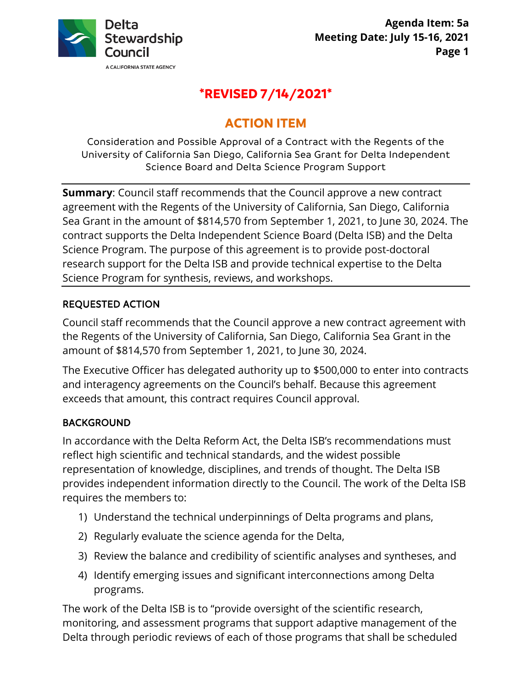

# **\*REVISED 7/14/2021\***

# **ACTION ITEM**

Consideration and Possible Approval of a Contract with the Regents of the University of California San Diego, California Sea Grant for Delta Independent Science Board and Delta Science Program Support

 Sea Grant in the amount of \$814,570 from September 1, 2021, to June 30, 2024. The **Summary**: Council staff recommends that the Council approve a new contract agreement with the Regents of the University of California, San Diego, California contract supports the Delta Independent Science Board (Delta ISB) and the Delta Science Program. The purpose of this agreement is to provide post-doctoral research support for the Delta ISB and provide technical expertise to the Delta Science Program for synthesis, reviews, and workshops.

# REQUESTED ACTION

 the Regents of the University of California, San Diego, California Sea Grant in the amount of \$814,570 from September 1, 2021, to June 30, 2024. Council staff recommends that the Council approve a new contract agreement with

The Executive Officer has delegated authority up to \$500,000 to enter into contracts and interagency agreements on the Council's behalf. Because this agreement exceeds that amount, this contract requires Council approval.

# BACKGROUND

 provides independent information directly to the Council. The work of the Delta ISB requires the members to: In accordance with the Delta Reform Act, the Delta ISB's recommendations must reflect high scientific and technical standards, and the widest possible representation of knowledge, disciplines, and trends of thought. The Delta ISB

- 1) Understand the technical underpinnings of Delta programs and plans,
- 2) Regularly evaluate the science agenda for the Delta,
- 3) Review the balance and credibility of scientific analyses and syntheses, and
- 4) Identify emerging issues and significant interconnections among Delta programs.

 The work of the Delta ISB is to "provide oversight of the scientific research, monitoring, and assessment programs that support adaptive management of the Delta through periodic reviews of each of those programs that shall be scheduled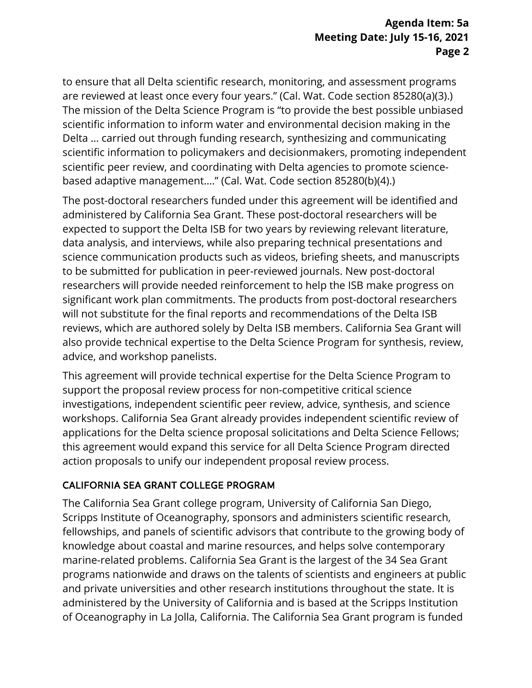Delta … carried out through funding research, synthesizing and communicating based adaptive management…." (Cal. Wat. Code section 85280(b)(4).) to ensure that all Delta scientific research, monitoring, and assessment programs are reviewed at least once every four years." (Cal. Wat. Code section 85280(a)(3).) The mission of the Delta Science Program is "to provide the best possible unbiased scientific information to inform water and environmental decision making in the scientific information to policymakers and decisionmakers, promoting independent scientific peer review, and coordinating with Delta agencies to promote science-

 data analysis, and interviews, while also preparing technical presentations and researchers will provide needed reinforcement to help the ISB make progress on advice, and workshop panelists. The post-doctoral researchers funded under this agreement will be identified and administered by California Sea Grant. These post-doctoral researchers will be expected to support the Delta ISB for two years by reviewing relevant literature, science communication products such as videos, briefing sheets, and manuscripts to be submitted for publication in peer-reviewed journals. New post-doctoral significant work plan commitments. The products from post-doctoral researchers will not substitute for the final reports and recommendations of the Delta ISB reviews, which are authored solely by Delta ISB members. California Sea Grant will also provide technical expertise to the Delta Science Program for synthesis, review,

 This agreement will provide technical expertise for the Delta Science Program to this agreement would expand this service for all Delta Science Program directed action proposals to unify our independent proposal review process. support the proposal review process for non-competitive critical science investigations, independent scientific peer review, advice, synthesis, and science workshops. California Sea Grant already provides independent scientific review of applications for the Delta science proposal solicitations and Delta Science Fellows;

# CALIFORNIA SEA GRANT COLLEGE PROGRAM

 administered by the University of California and is based at the Scripps Institution The California Sea Grant college program, University of California San Diego, Scripps Institute of Oceanography, sponsors and administers scientific research, fellowships, and panels of scientific advisors that contribute to the growing body of knowledge about coastal and marine resources, and helps solve contemporary marine-related problems. California Sea Grant is the largest of the 34 Sea Grant programs nationwide and draws on the talents of scientists and engineers at public and private universities and other research institutions throughout the state. It is of Oceanography in La Jolla, California. The California Sea Grant program is funded